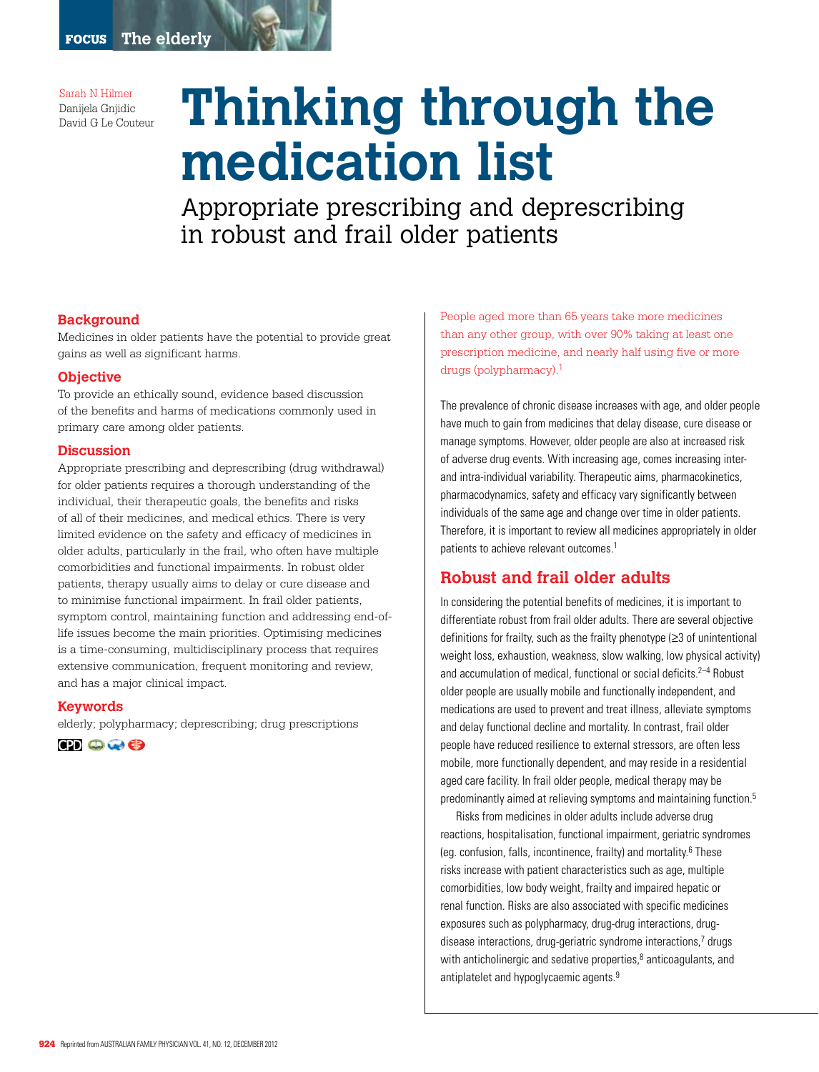Sarah N Hilmer Danijela Gnjidic

# **Danijela Gnjidic Thinking through the medication list**

Appropriate prescribing and deprescribing in robust and frail older patients

#### **Background**

Medicines in older patients have the potential to provide great gains as well as significant harms.

#### **Objective**

To provide an ethically sound, evidence based discussion of the benefits and harms of medications commonly used in primary care among older patients.

#### **Discussion**

Appropriate prescribing and deprescribing (drug withdrawal) for older patients requires a thorough understanding of the individual, their therapeutic goals, the benefits and risks of all of their medicines, and medical ethics. There is very limited evidence on the safety and efficacy of medicines in older adults, particularly in the frail, who often have multiple comorbidities and functional impairments. In robust older patients, therapy usually aims to delay or cure disease and to minimise functional impairment. In frail older patients, symptom control, maintaining function and addressing end-oflife issues become the main priorities. Optimising medicines is a time-consuming, multidisciplinary process that requires extensive communication, frequent monitoring and review, and has a major clinical impact.

#### **Keywords**

elderly; polypharmacy; deprescribing; drug prescriptions

**TO OG** 

People aged more than 65 years take more medicines than any other group, with over 90% taking at least one prescription medicine, and nearly half using five or more drugs (polypharmacy).1

The prevalence of chronic disease increases with age, and older people have much to gain from medicines that delay disease, cure disease or manage symptoms. However, older people are also at increased risk of adverse drug events. With increasing age, comes increasing interand intra-individual variability. Therapeutic aims, pharmacokinetics, pharmacodynamics, safety and efficacy vary significantly between individuals of the same age and change over time in older patients. Therefore, it is important to review all medicines appropriately in older patients to achieve relevant outcomes.<sup>1</sup>

# **Robust and frail older adults**

In considering the potential benefits of medicines, it is important to differentiate robust from frail older adults. There are several objective definitions for frailty, such as the frailty phenotype (≥3 of unintentional weight loss, exhaustion, weakness, slow walking, low physical activity) and accumulation of medical, functional or social deficits.<sup>2-4</sup> Robust older people are usually mobile and functionally independent, and medications are used to prevent and treat illness, alleviate symptoms and delay functional decline and mortality. In contrast, frail older people have reduced resilience to external stressors, are often less mobile, more functionally dependent, and may reside in a residential aged care facility. In frail older people, medical therapy may be predominantly aimed at relieving symptoms and maintaining function.5

Risks from medicines in older adults include adverse drug reactions, hospitalisation, functional impairment, geriatric syndromes (eg. confusion, falls, incontinence, frailty) and mortality.6 These risks increase with patient characteristics such as age, multiple comorbidities, low body weight, frailty and impaired hepatic or renal function. Risks are also associated with specific medicines exposures such as polypharmacy, drug-drug interactions, drugdisease interactions, drug-geriatric syndrome interactions,7 drugs with anticholinergic and sedative properties, $<sup>8</sup>$  anticoagulants, and</sup> antiplatelet and hypoglycaemic agents.<sup>9</sup>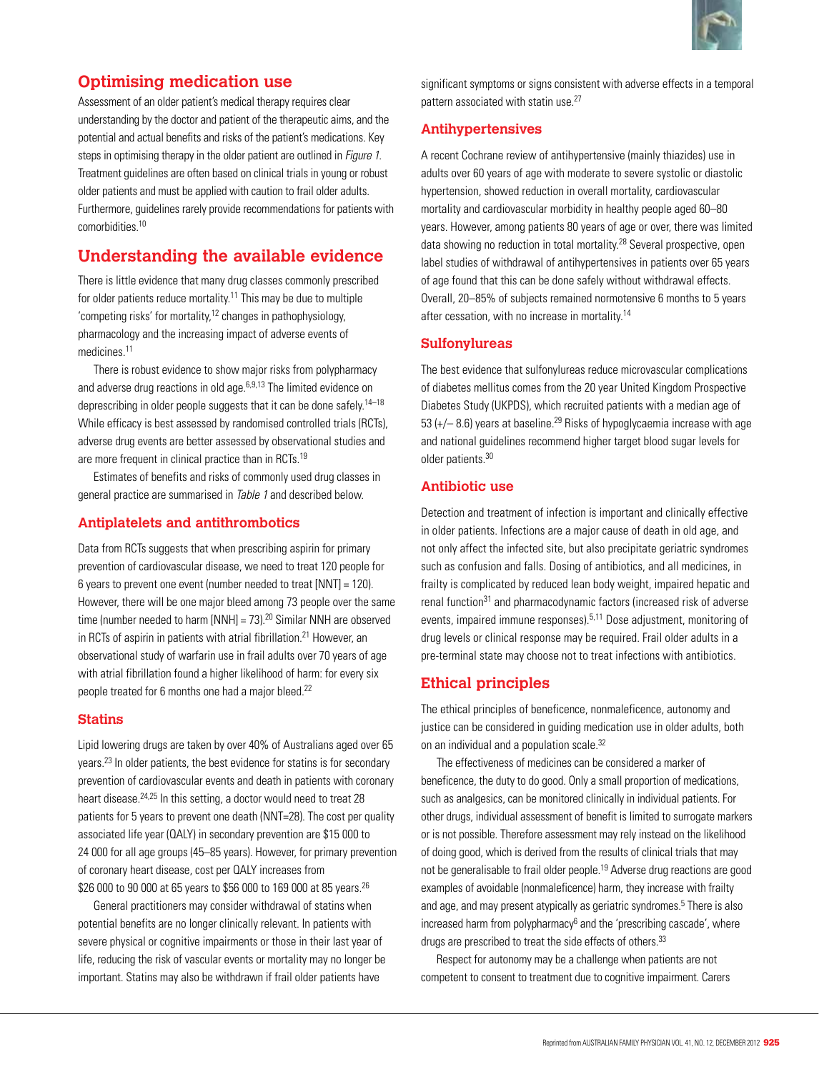

# **Optimising medication use**

Assessment of an older patient's medical therapy requires clear understanding by the doctor and patient of the therapeutic aims, and the potential and actual benefits and risks of the patient's medications. Key steps in optimising therapy in the older patient are outlined in *Figure 1*. Treatment guidelines are often based on clinical trials in young or robust older patients and must be applied with caution to frail older adults. Furthermore, guidelines rarely provide recommendations for patients with comorbidities.<sup>10</sup>

# **Understanding the available evidence**

There is little evidence that many drug classes commonly prescribed for older patients reduce mortality.11 This may be due to multiple 'competing risks' for mortality,12 changes in pathophysiology, pharmacology and the increasing impact of adverse events of medicines.11

There is robust evidence to show major risks from polypharmacy and adverse drug reactions in old age.<sup>6,9,13</sup> The limited evidence on deprescribing in older people suggests that it can be done safely.<sup>14–18</sup> While efficacy is best assessed by randomised controlled trials (RCTs), adverse drug events are better assessed by observational studies and are more frequent in clinical practice than in RCTs.<sup>19</sup>

Estimates of benefits and risks of commonly used drug classes in general practice are summarised in Table 1 and described below.

## **Antiplatelets and antithrombotics**

Data from RCTs suggests that when prescribing aspirin for primary prevention of cardiovascular disease, we need to treat 120 people for 6 years to prevent one event (number needed to treat [NNT] = 120). However, there will be one major bleed among 73 people over the same time (number needed to harm  $[NNH] = 73$ ).<sup>20</sup> Similar NNH are observed in RCTs of aspirin in patients with atrial fibrillation.<sup>21</sup> However, an observational study of warfarin use in frail adults over 70 years of age with atrial fibrillation found a higher likelihood of harm: for every six people treated for 6 months one had a major bleed.<sup>22</sup>

#### **Statins**

Lipid lowering drugs are taken by over 40% of Australians aged over 65 years.23 In older patients, the best evidence for statins is for secondary prevention of cardiovascular events and death in patients with coronary heart disease.<sup>24,25</sup> In this setting, a doctor would need to treat 28 patients for 5 years to prevent one death (NNT=28). The cost per quality associated life year (QALY) in secondary prevention are \$15 000 to 24 000 for all age groups (45–85 years). However, for primary prevention of coronary heart disease, cost per QALY increases from \$26 000 to 90 000 at 65 years to \$56 000 to 169 000 at 85 years.<sup>26</sup>

General practitioners may consider withdrawal of statins when potential benefits are no longer clinically relevant. In patients with severe physical or cognitive impairments or those in their last year of life, reducing the risk of vascular events or mortality may no longer be important. Statins may also be withdrawn if frail older patients have

significant symptoms or signs consistent with adverse effects in a temporal pattern associated with statin use.<sup>27</sup>

## **Antihypertensives**

A recent Cochrane review of antihypertensive (mainly thiazides) use in adults over 60 years of age with moderate to severe systolic or diastolic hypertension, showed reduction in overall mortality, cardiovascular mortality and cardiovascular morbidity in healthy people aged 60–80 years. However, among patients 80 years of age or over, there was limited data showing no reduction in total mortality.<sup>28</sup> Several prospective, open label studies of withdrawal of antihypertensives in patients over 65 years of age found that this can be done safely without withdrawal effects. Overall, 20–85% of subjects remained normotensive 6 months to 5 years after cessation, with no increase in mortality.14

#### **Sulfonylureas**

The best evidence that sulfonylureas reduce microvascular complications of diabetes mellitus comes from the 20 year United Kingdom Prospective Diabetes Study (UKPDS), which recruited patients with a median age of 53 ( $+/-$  8.6) years at baseline.<sup>29</sup> Risks of hypoglycaemia increase with age and national guidelines recommend higher target blood sugar levels for older patients.30

#### **Antibiotic use**

Detection and treatment of infection is important and clinically effective in older patients. Infections are a major cause of death in old age, and not only affect the infected site, but also precipitate geriatric syndromes such as confusion and falls. Dosing of antibiotics, and all medicines, in frailty is complicated by reduced lean body weight, impaired hepatic and renal function<sup>31</sup> and pharmacodynamic factors (increased risk of adverse events, impaired immune responses).<sup>5,11</sup> Dose adjustment, monitoring of drug levels or clinical response may be required. Frail older adults in a pre-terminal state may choose not to treat infections with antibiotics.

# **Ethical principles**

The ethical principles of beneficence, nonmaleficence, autonomy and justice can be considered in guiding medication use in older adults, both on an individual and a population scale.<sup>32</sup>

The effectiveness of medicines can be considered a marker of beneficence, the duty to do good. Only a small proportion of medications, such as analgesics, can be monitored clinically in individual patients. For other drugs, individual assessment of benefit is limited to surrogate markers or is not possible. Therefore assessment may rely instead on the likelihood of doing good, which is derived from the results of clinical trials that may not be generalisable to frail older people.19 Adverse drug reactions are good examples of avoidable (nonmaleficence) harm, they increase with frailty and age, and may present atypically as geriatric syndromes.<sup>5</sup> There is also increased harm from polypharmacy<sup>6</sup> and the 'prescribing cascade', where drugs are prescribed to treat the side effects of others.<sup>33</sup>

Respect for autonomy may be a challenge when patients are not competent to consent to treatment due to cognitive impairment. Carers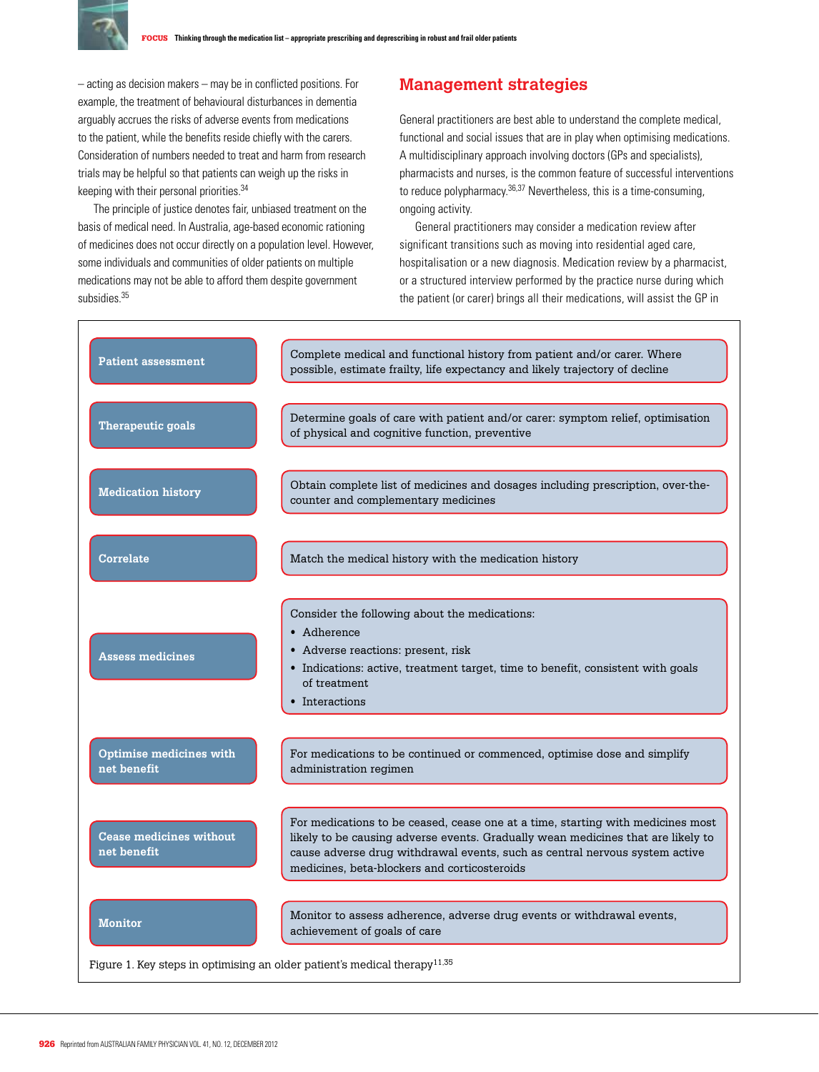

– acting as decision makers – may be in conflicted positions. For example, the treatment of behavioural disturbances in dementia arguably accrues the risks of adverse events from medications to the patient, while the benefits reside chiefly with the carers. Consideration of numbers needed to treat and harm from research trials may be helpful so that patients can weigh up the risks in keeping with their personal priorities.34

The principle of justice denotes fair, unbiased treatment on the basis of medical need. In Australia, age-based economic rationing of medicines does not occur directly on a population level. However, some individuals and communities of older patients on multiple medications may not be able to afford them despite government subsidies<sup>35</sup>

## **Management strategies**

General practitioners are best able to understand the complete medical, functional and social issues that are in play when optimising medications. A multidisciplinary approach involving doctors (GPs and specialists), pharmacists and nurses, is the common feature of successful interventions to reduce polypharmacy.36,37 Nevertheless, this is a time-consuming, ongoing activity.

General practitioners may consider a medication review after significant transitions such as moving into residential aged care, hospitalisation or a new diagnosis. Medication review by a pharmacist, or a structured interview performed by the practice nurse during which the patient (or carer) brings all their medications, will assist the GP in

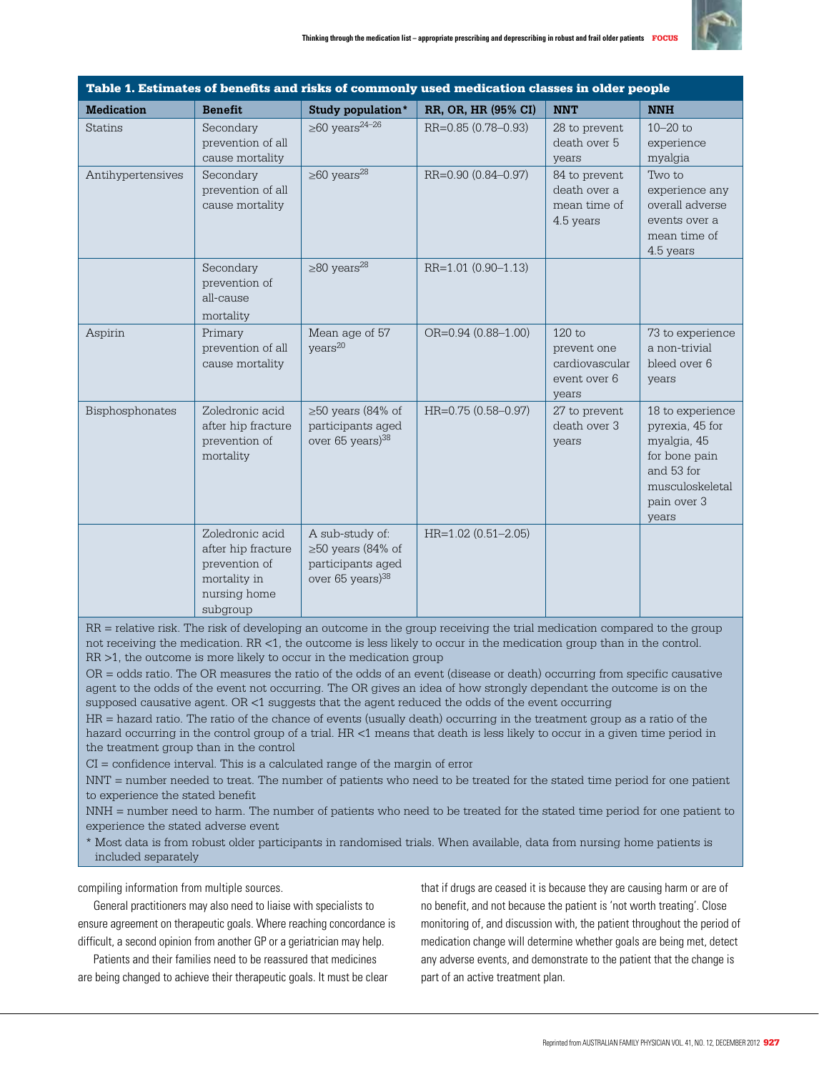

| Table 1. Estimates of benefits and risks of commonly used medication classes in older people |                                                                                                    |                                                                                                 |                           |                                                                    |                                                                                                                              |
|----------------------------------------------------------------------------------------------|----------------------------------------------------------------------------------------------------|-------------------------------------------------------------------------------------------------|---------------------------|--------------------------------------------------------------------|------------------------------------------------------------------------------------------------------------------------------|
| <b>Medication</b>                                                                            | <b>Benefit</b>                                                                                     | Study population*                                                                               | RR, OR, HR (95% CI)       | <b>NNT</b>                                                         | <b>NNH</b>                                                                                                                   |
| <b>Statins</b>                                                                               | Secondary<br>prevention of all<br>cause mortality                                                  | $\geq 60$ years <sup>24-26</sup>                                                                | RR=0.85 (0.78-0.93)       | 28 to prevent<br>death over 5<br>years                             | $10 - 20$ to<br>experience<br>myalgia                                                                                        |
| Antihypertensives                                                                            | Secondary<br>prevention of all<br>cause mortality                                                  | $\geq 60$ years <sup>28</sup>                                                                   | RR=0.90 (0.84-0.97)       | 84 to prevent<br>death over a<br>mean time of<br>4.5 years         | Two to<br>experience any<br>overall adverse<br>events over a<br>mean time of<br>4.5 years                                    |
|                                                                                              | Secondary<br>prevention of<br>all-cause<br>mortality                                               | $\geq$ 80 years <sup>28</sup>                                                                   | RR=1.01 (0.90-1.13)       |                                                                    |                                                                                                                              |
| Aspirin                                                                                      | Primary<br>prevention of all<br>cause mortality                                                    | Mean age of 57<br>years <sup>20</sup>                                                           | $OR = 0.94 (0.88 - 1.00)$ | $120$ to<br>prevent one<br>cardiovascular<br>event over 6<br>years | 73 to experience<br>a non-trivial<br>bleed over 6<br>years                                                                   |
| Bisphosphonates                                                                              | Zoledronic acid<br>after hip fracture<br>prevention of<br>mortality                                | $\geq$ 50 years (84% of<br>participants aged<br>over 65 years) $38$                             | HR=0.75 (0.58-0.97)       | 27 to prevent<br>death over 3<br>years                             | 18 to experience<br>pyrexia, 45 for<br>myalgia, 45<br>for bone pain<br>and 53 for<br>musculoskeletal<br>pain over 3<br>years |
|                                                                                              | Zoledronic acid<br>after hip fracture<br>prevention of<br>mortality in<br>nursing home<br>subgroup | A sub-study of:<br>$\geq$ 50 years (84% of<br>participants aged<br>over 65 years) <sup>38</sup> | $HR=1.02(0.51-2.05)$      |                                                                    |                                                                                                                              |

RR = relative risk. The risk of developing an outcome in the group receiving the trial medication compared to the group not receiving the medication. RR <1, the outcome is less likely to occur in the medication group than in the control. RR >1, the outcome is more likely to occur in the medication group

OR = odds ratio. The OR measures the ratio of the odds of an event (disease or death) occurring from specific causative agent to the odds of the event not occurring. The OR gives an idea of how strongly dependant the outcome is on the supposed causative agent. OR <1 suggests that the agent reduced the odds of the event occurring

HR = hazard ratio. The ratio of the chance of events (usually death) occurring in the treatment group as a ratio of the hazard occurring in the control group of a trial. HR <1 means that death is less likely to occur in a given time period in the treatment group than in the control

CI = confidence interval. This is a calculated range of the margin of error

NNT = number needed to treat. The number of patients who need to be treated for the stated time period for one patient to experience the stated benefit

NNH = number need to harm. The number of patients who need to be treated for the stated time period for one patient to experience the stated adverse event

\* Most data is from robust older participants in randomised trials. When available, data from nursing home patients is included separately

compiling information from multiple sources.

General practitioners may also need to liaise with specialists to ensure agreement on therapeutic goals. Where reaching concordance is difficult, a second opinion from another GP or a geriatrician may help.

Patients and their families need to be reassured that medicines are being changed to achieve their therapeutic goals. It must be clear that if drugs are ceased it is because they are causing harm or are of no benefit, and not because the patient is 'not worth treating'. Close monitoring of, and discussion with, the patient throughout the period of medication change will determine whether goals are being met, detect any adverse events, and demonstrate to the patient that the change is part of an active treatment plan.